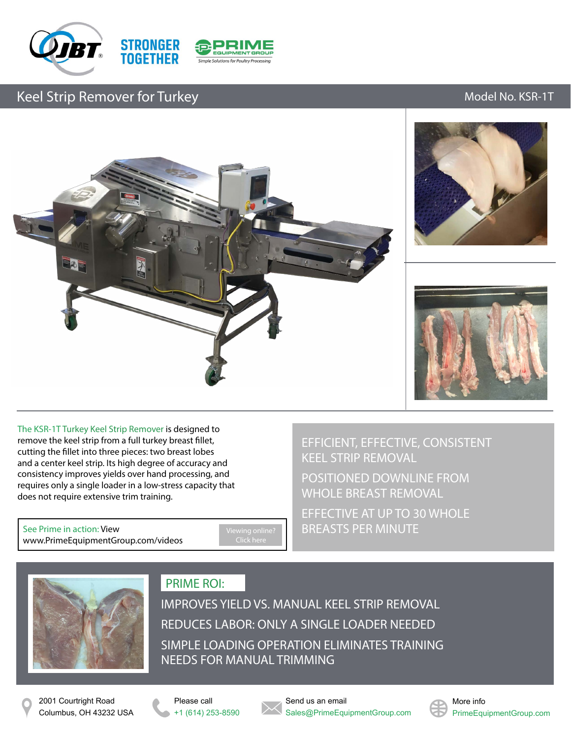





## Keel Strip Remover for Turkey Model No. KSR-1T







The KSR-1T Turkey Keel Strip Remover is designed to remove the keel strip from a full turkey breast fillet, cutting the fillet into three pieces: two breast lobes and a center keel strip. Its high degree of accuracy and consistency improves yields over hand processing, and requires only a single loader in a low-stress capacity that does not require extensive trim training.

See Prime in action: View [www.PrimeEquipmentGroup.com/videos](http://www.primeequipmentgroup.com/videos) [Viewing online?](http://www.primeequipmentgroup.com/videos)  Click here

EFFICIENT, EFFECTIVE, CONSISTENT KEEL STRIP REMOVAL

POSITIONED DOWNLINE FROM WHOLE BREAST REMOVAL

EFFECTIVE AT UP TO 30 WHOLE BREASTS PER MINUTE



### PRIME ROI:

IMPROVES YIELD VS. MANUAL KEEL STRIP REMOVAL REDUCES LABOR: ONLY A SINGLE LOADER NEEDED SIMPLE LOADING OPERATION ELIMINATES TRAINING NEEDS FOR MANUAL TRIMMING